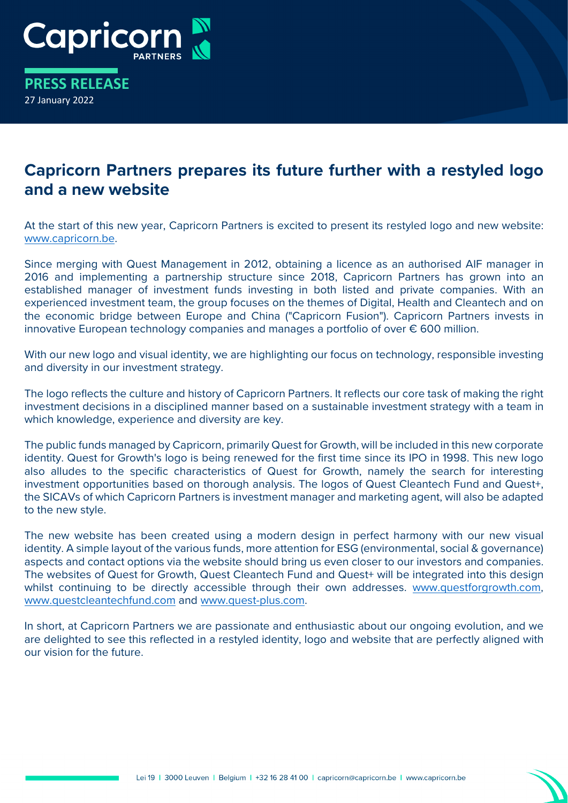

**PRESS RELEASE** 27 January 2022

## **Capricorn Partners prepares its future further with a restyled logo and a new website**

At the start of this new year, Capricorn Partners is excited to present its restyled logo and new website: [www.capricorn.be.](http://www.capricorn.be/)

Since merging with Quest Management in 2012, obtaining a licence as an authorised AIF manager in 2016 and implementing a partnership structure since 2018, Capricorn Partners has grown into an established manager of investment funds investing in both listed and private companies. With an experienced investment team, the group focuses on the themes of Digital, Health and Cleantech and on the economic bridge between Europe and China ("Capricorn Fusion"). Capricorn Partners invests in innovative European technology companies and manages a portfolio of over € 600 million.

With our new logo and visual identity, we are highlighting our focus on technology, responsible investing and diversity in our investment strategy.

The logo reflects the culture and history of Capricorn Partners. It reflects our core task of making the right investment decisions in a disciplined manner based on a sustainable investment strategy with a team in which knowledge, experience and diversity are key.

The public funds managed by Capricorn, primarily Quest for Growth, will be included in this new corporate identity. Quest for Growth's logo is being renewed for the first time since its IPO in 1998. This new logo also alludes to the specific characteristics of Quest for Growth, namely the search for interesting investment opportunities based on thorough analysis. The logos of Quest Cleantech Fund and Quest+, the SICAVs of which Capricorn Partners is investment manager and marketing agent, will also be adapted to the new style.

The new website has been created using a modern design in perfect harmony with our new visual identity. A simple layout of the various funds, more attention for ESG (environmental, social & governance) aspects and contact options via the website should bring us even closer to our investors and companies. The websites of Quest for Growth, Quest Cleantech Fund and Quest+ will be integrated into this design whilst continuing to be directly accessible through their own addresses. [www.questforgrowth.com,](http://www.questforgrowth.com/) [www.questcleantechfund.com](http://www.questcleantechfund.com/) and [www.quest-plus.com.](http://www.quest-plus.com/)

In short, at Capricorn Partners we are passionate and enthusiastic about our ongoing evolution, and we are delighted to see this reflected in a restyled identity, logo and website that are perfectly aligned with our vision for the future.